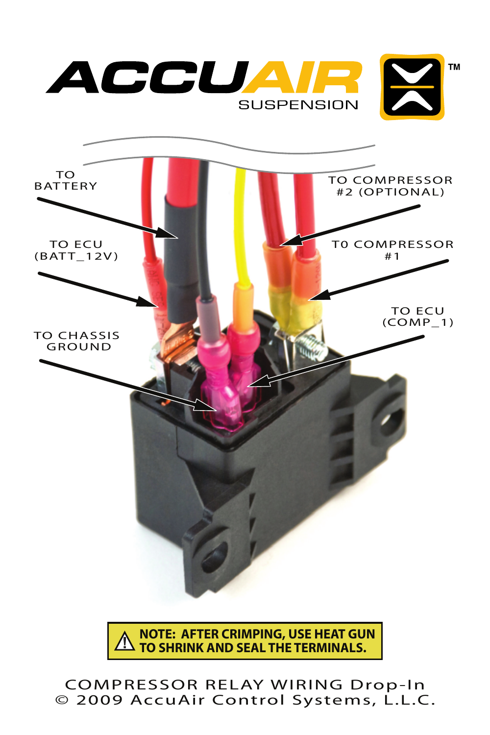

COMPRESSOR RELAY WIRING Drop-In © 2009 AccuAir Control Systems, L.L.C.